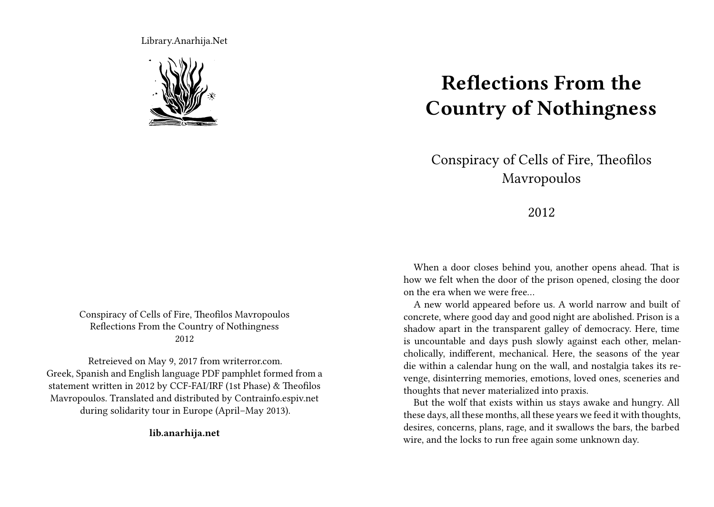Library.Anarhija.Net



## Conspiracy of Cells of Fire, Theofilos Mavropoulos Reflections From the Country of Nothingness 2012

Retreieved on May 9, 2017 from writerror.com. Greek, Spanish and English language PDF pamphlet formed from a statement written in 2012 by CCF-FAI/IRF (1st Phase) & Theofilos Mavropoulos. Translated and distributed by Contrainfo.espiv.net during solidarity tour in Europe (April–May 2013).

**lib.anarhija.net**

## **Reflections From the Country of Nothingness**

## Conspiracy of Cells of Fire, Theofilos Mavropoulos

2012

When a door closes behind you, another opens ahead. That is how we felt when the door of the prison opened, closing the door on the era when we were free…

A new world appeared before us. A world narrow and built of concrete, where good day and good night are abolished. Prison is a shadow apart in the transparent galley of democracy. Here, time is uncountable and days push slowly against each other, melancholically, indifferent, mechanical. Here, the seasons of the year die within a calendar hung on the wall, and nostalgia takes its revenge, disinterring memories, emotions, loved ones, sceneries and thoughts that never materialized into praxis.

But the wolf that exists within us stays awake and hungry. All these days, all these months, all these years we feed it with thoughts, desires, concerns, plans, rage, and it swallows the bars, the barbed wire, and the locks to run free again some unknown day.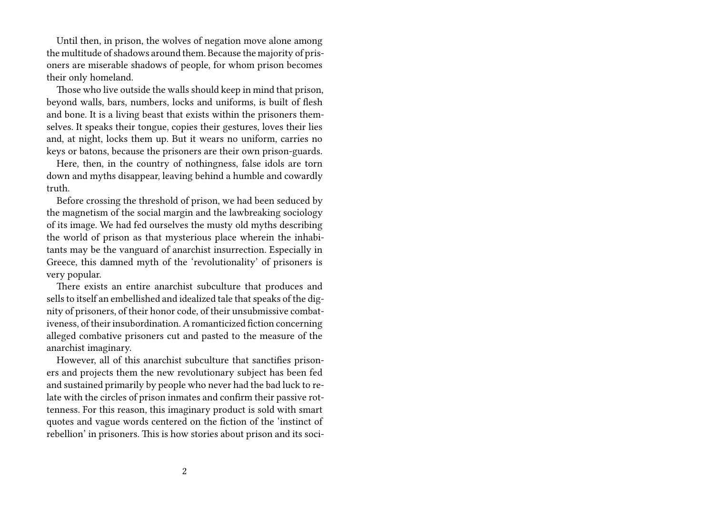Until then, in prison, the wolves of negation move alone among the multitude of shadows around them. Because the majority of prisoners are miserable shadows of people, for whom prison becomes their only homeland.

Those who live outside the walls should keep in mind that prison, beyond walls, bars, numbers, locks and uniforms, is built of flesh and bone. It is a living beast that exists within the prisoners themselves. It speaks their tongue, copies their gestures, loves their lies and, at night, locks them up. But it wears no uniform, carries no keys or batons, because the prisoners are their own prison-guards.

Here, then, in the country of nothingness, false idols are torn down and myths disappear, leaving behind a humble and cowardly truth.

Before crossing the threshold of prison, we had been seduced by the magnetism of the social margin and the lawbreaking sociology of its image. We had fed ourselves the musty old myths describing the world of prison as that mysterious place wherein the inhabitants may be the vanguard of anarchist insurrection. Especially in Greece, this damned myth of the 'revolutionality' of prisoners is very popular.

There exists an entire anarchist subculture that produces and sells to itself an embellished and idealized tale that speaks of the dignity of prisoners, of their honor code, of their unsubmissive combativeness, of their insubordination. A romanticized fiction concerning alleged combative prisoners cut and pasted to the measure of the anarchist imaginary.

However, all of this anarchist subculture that sanctifies prisoners and projects them the new revolutionary subject has been fed and sustained primarily by people who never had the bad luck to relate with the circles of prison inmates and confirm their passive rottenness. For this reason, this imaginary product is sold with smart quotes and vague words centered on the fiction of the 'instinct of rebellion' in prisoners. This is how stories about prison and its soci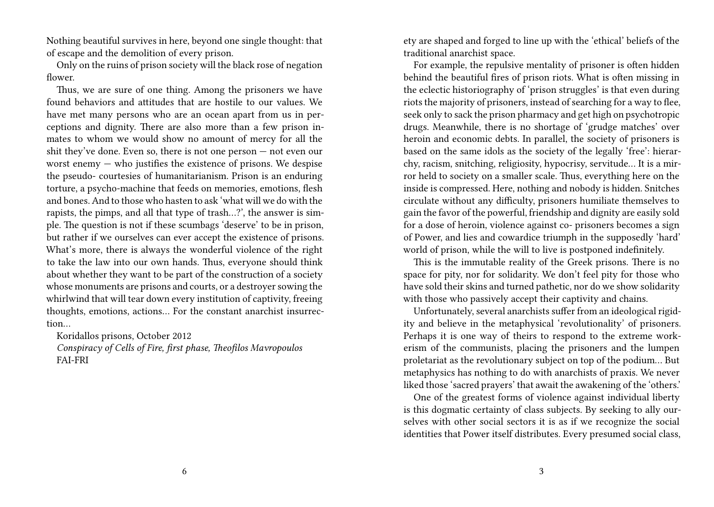Nothing beautiful survives in here, beyond one single thought: that of escape and the demolition of every prison.

Only on the ruins of prison society will the black rose of negation flower.

Thus, we are sure of one thing. Among the prisoners we have found behaviors and attitudes that are hostile to our values. We have met many persons who are an ocean apart from us in perceptions and dignity. There are also more than a few prison inmates to whom we would show no amount of mercy for all the shit they've done. Even so, there is not one person — not even our worst enemy — who justifies the existence of prisons. We despise the pseudo- courtesies of humanitarianism. Prison is an enduring torture, a psycho-machine that feeds on memories, emotions, flesh and bones. And to those who hasten to ask 'what will we do with the rapists, the pimps, and all that type of trash…?', the answer is simple. The question is not if these scumbags 'deserve' to be in prison, but rather if we ourselves can ever accept the existence of prisons. What's more, there is always the wonderful violence of the right to take the law into our own hands. Thus, everyone should think about whether they want to be part of the construction of a society whose monuments are prisons and courts, or a destroyer sowing the whirlwind that will tear down every institution of captivity, freeing thoughts, emotions, actions… For the constant anarchist insurrection…

Koridallos prisons, October 2012

*Conspiracy of Cells of Fire, first phase, Theofilos Mavropoulos* FAI-FRI

ety are shaped and forged to line up with the 'ethical' beliefs of the traditional anarchist space.

For example, the repulsive mentality of prisoner is often hidden behind the beautiful fires of prison riots. What is often missing in the eclectic historiography of 'prison struggles' is that even during riots the majority of prisoners, instead of searching for a way to flee, seek only to sack the prison pharmacy and get high on psychotropic drugs. Meanwhile, there is no shortage of 'grudge matches' over heroin and economic debts. In parallel, the society of prisoners is based on the same idols as the society of the legally 'free': hierarchy, racism, snitching, religiosity, hypocrisy, servitude… It is a mirror held to society on a smaller scale. Thus, everything here on the inside is compressed. Here, nothing and nobody is hidden. Snitches circulate without any difficulty, prisoners humiliate themselves to gain the favor of the powerful, friendship and dignity are easily sold for a dose of heroin, violence against co- prisoners becomes a sign of Power, and lies and cowardice triumph in the supposedly 'hard' world of prison, while the will to live is postponed indefinitely.

This is the immutable reality of the Greek prisons. There is no space for pity, nor for solidarity. We don't feel pity for those who have sold their skins and turned pathetic, nor do we show solidarity with those who passively accept their captivity and chains.

Unfortunately, several anarchists suffer from an ideological rigidity and believe in the metaphysical 'revolutionality' of prisoners. Perhaps it is one way of theirs to respond to the extreme workerism of the communists, placing the prisoners and the lumpen proletariat as the revolutionary subject on top of the podium… But metaphysics has nothing to do with anarchists of praxis. We never liked those 'sacred prayers' that await the awakening of the 'others.'

One of the greatest forms of violence against individual liberty is this dogmatic certainty of class subjects. By seeking to ally ourselves with other social sectors it is as if we recognize the social identities that Power itself distributes. Every presumed social class,